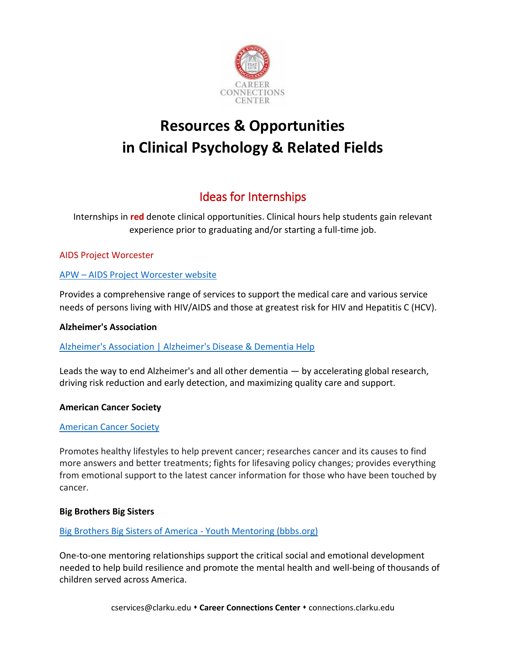

# **Resources & Opportunities in Clinical Psychology & Related Fields**

## Ideas for Internships

Internships in **red** denote clinical opportunities. Clinical hours help students gain relevant experience prior to graduating and/or starting a full-time job.

## AIDS Project Worcester

## APW – [AIDS Project Worcester website](https://www.aidsprojectworcester.org/)

Provides a comprehensive range of services to support the medical care and various service needs of persons living with HIV/AIDS and those at greatest risk for HIV and Hepatitis C (HCV).

#### **Alzheimer's Association**

[Alzheimer's Association | Alzheimer's Disease & Dementia Help](https://www.alz.org/)

Leads the way to end Alzheimer's and all other dementia — by accelerating global research, driving risk reduction and early detection, and maximizing quality care and support.

## **American Cancer Society**

## [American Cancer Society](https://www.cancer.org/)

Promotes healthy lifestyles to help prevent cancer; researches cancer and its causes to find more answers and better treatments; fights for lifesaving policy changes; provides everything from emotional support to the latest cancer information for those who have been touched by cancer.

#### **Big Brothers Big Sisters**

#### [Big Brothers Big Sisters of America -](https://www.bbbs.org/) Youth Mentoring (bbbs.org)

One-to-one mentoring relationships support the critical social and emotional development needed to help build resilience and promote the mental health and well-being of thousands of children served across America.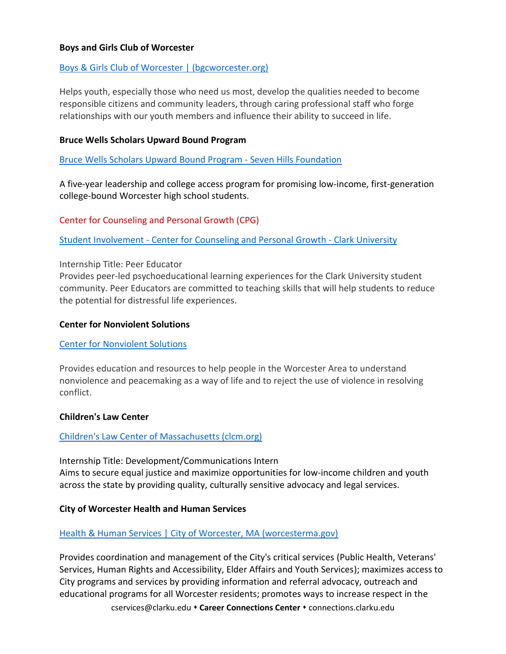#### **Boys and Girls Club of Worcester**

#### [Boys & Girls Club of Worcester | \(bgcworcester.org\)](https://www.bgcworcester.org/)

Helps youth, especially those who need us most, develop the qualities needed to become responsible citizens and community leaders, through caring professional staff who forge relationships with our youth members and influence their ability to succeed in life.

#### **Bruce Wells Scholars Upward Bound Program**

[Bruce Wells Scholars Upward Bound Program -](https://www.sevenhills.org/programs/bruce-wells-scholars-upward-bound-program) Seven Hills Foundation

A five-year leadership and college access program for promising low-income, first-generation college-bound Worcester high school students.

Center for Counseling and Personal Growth (CPG)

Student Involvement - [Center for Counseling and Personal Growth -](https://www.clarku.edu/offices/counseling/student-involvement/) Clark University

#### Internship Title: Peer Educator

Provides peer-led psychoeducational learning experiences for the Clark University student community. Peer Educators are committed to teaching skills that will help students to reduce the potential for distressful life experiences.

#### **Center for Nonviolent Solutions**

#### [Center for Nonviolent Solutions](https://www.nonviolentsolutions.org/)

Provides education and resources to help people in the Worcester Area to understand nonviolence and peacemaking as a way of life and to reject the use of violence in resolving conflict.

#### **Children's Law Center**

#### [Children's Law Center of Massachusetts \(clcm.org\)](https://www.clcm.org/)

Internship Title: Development/Communications Intern Aims to secure equal justice and maximize opportunities for low-income children and youth across the state by providing quality, culturally sensitive advocacy and legal services.

#### **City of Worcester Health and Human Services**

#### [Health & Human Services | City of Worcester, MA \(worcesterma.gov\)](http://www.worcesterma.gov/hhs)

Provides coordination and management of the City's critical services (Public Health, Veterans' Services, Human Rights and Accessibility, Elder Affairs and Youth Services); maximizes access to City programs and services by providing information and referral advocacy, outreach and educational programs for all Worcester residents; promotes ways to increase respect in the

cservices@clarku.edu **Career Connections Center** connections.clarku.edu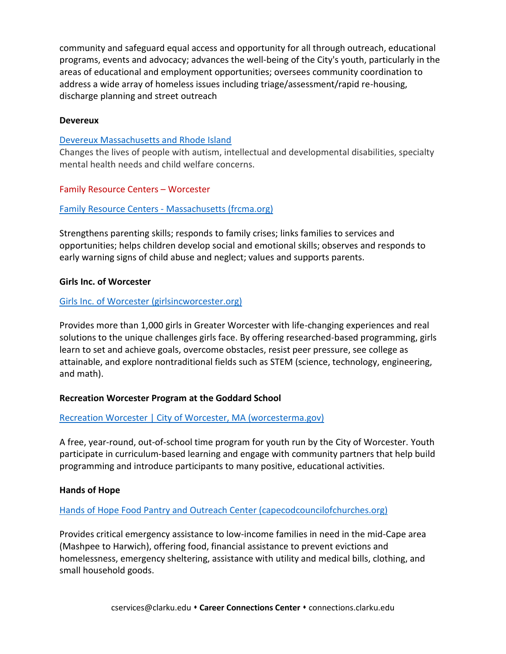community and safeguard equal access and opportunity for all through outreach, educational programs, events and advocacy; advances the well-being of the City's youth, particularly in the areas of educational and employment opportunities; oversees community coordination to address a wide array of homeless issues including triage/assessment/rapid re-housing, discharge planning and street outreach

#### **Devereux**

## [Devereux Massachusetts and Rhode Island](https://www.devereux.org/site/SPageServer/?pagename=ma_index)

Changes the lives of people with autism, intellectual and developmental disabilities, specialty mental health needs and child welfare concerns.

## Family Resource Centers – Worcester

## Family Resource Centers - [Massachusetts \(frcma.org\)](https://www.frcma.org/)

Strengthens parenting skills; responds to family crises; links families to services and opportunities; helps children develop social and emotional skills; observes and responds to early warning signs of child abuse and neglect; values and supports parents.

#### **Girls Inc. of Worcester**

#### [Girls Inc. of Worcester \(girlsincworcester.org\)](https://www.girlsincworcester.org/)

Provides more than 1,000 girls in Greater Worcester with life-changing experiences and real solutions to the unique challenges girls face. By offering researched-based programming, girls learn to set and achieve goals, overcome obstacles, resist peer pressure, see college as attainable, and explore nontraditional fields such as STEM (science, technology, engineering, and math).

## **Recreation Worcester Program at the Goddard School**

## [Recreation Worcester | City of Worcester, MA \(worcesterma.gov\)](http://www.worcesterma.gov/recreation-worcester)

A free, year-round, out-of-school time program for youth run by the City of Worcester. Youth participate in curriculum-based learning and engage with community partners that help build programming and introduce participants to many positive, educational activities.

#### **Hands of Hope**

## [Hands of Hope Food Pantry and Outreach Center \(capecodcouncilofchurches.org\)](https://www.capecodcouncilofchurches.org/hands-of-hope-food-pantry-and-outreach-center.html)

Provides critical emergency assistance to low-income families in need in the mid-Cape area (Mashpee to Harwich), offering food, financial assistance to prevent evictions and homelessness, emergency sheltering, assistance with utility and medical bills, clothing, and small household goods.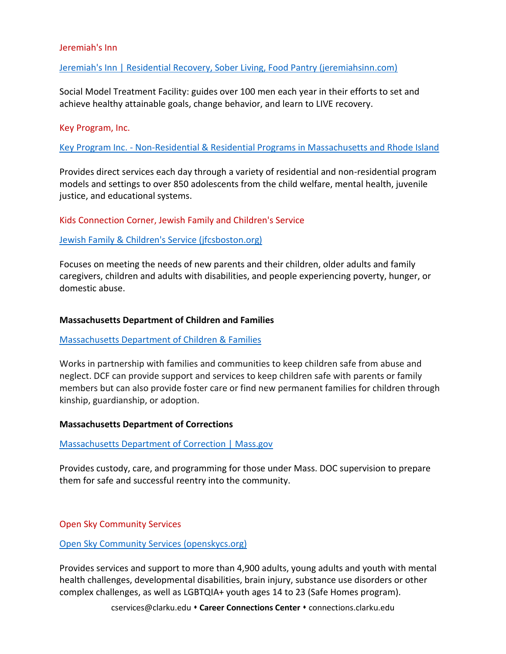#### Jeremiah's Inn

#### [Jeremiah's Inn | Residential Recovery, Sober Living, Food Pantry \(jeremiahsinn.com\)](https://www.jeremiahsinn.com/)

Social Model Treatment Facility: guides over 100 men each year in their efforts to set and achieve healthy attainable goals, change behavior, and learn to LIVE recovery.

#### Key Program, Inc.

Key Program Inc. - [Non-Residential & Residential Programs in Massachusetts and Rhode Island](https://www.key.org/programs)

Provides direct services each day through a variety of residential and non-residential program models and settings to over 850 adolescents from the child welfare, mental health, juvenile justice, and educational systems.

Kids Connection Corner, Jewish Family and Children's Service

#### [Jewish Family & Children's Service \(jfcsboston.org\)](https://www.jfcsboston.org/)

Focuses on meeting the needs of new parents and their children, older adults and family caregivers, children and adults with disabilities, and people experiencing poverty, hunger, or domestic abuse.

#### **Massachusetts Department of Children and Families**

#### [Massachusetts Department of Children & Families](https://www.mass.gov/orgs/massachusetts-department-of-children-families)

Works in partnership with families and communities to keep children safe from abuse and neglect. DCF can provide support and services to keep children safe with parents or family members but can also provide foster care or find new permanent families for children through kinship, guardianship, or adoption.

#### **Massachusetts Department of Corrections**

#### [Massachusetts Department of Correction | Mass.gov](https://www.mass.gov/orgs/massachusetts-department-of-correction)

Provides custody, care, and programming for those under Mass. DOC supervision to prepare them for safe and successful reentry into the community.

Open Sky Community Services

#### [Open Sky Community Services \(openskycs.org\)](https://www.openskycs.org/)

Provides services and support to more than 4,900 adults, young adults and youth with mental health challenges, developmental disabilities, brain injury, substance use disorders or other complex challenges, as well as LGBTQIA+ youth ages 14 to 23 (Safe Homes program).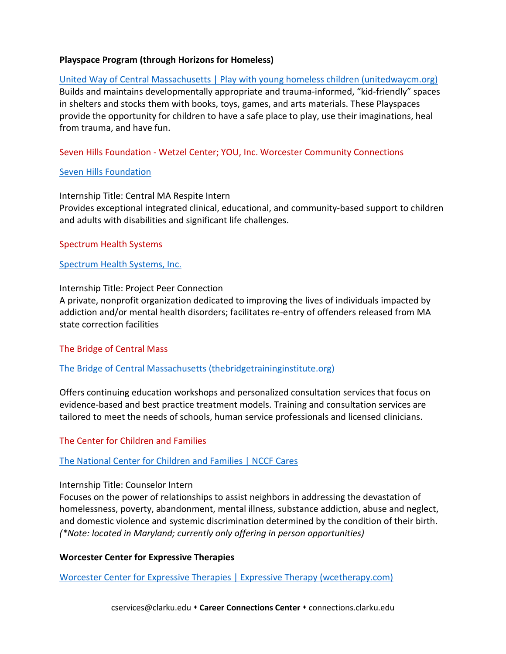#### **Playspace Program (through Horizons for Homeless)**

[United Way of Central Massachusetts | Play with young homeless children \(unitedwaycm.org\)](https://volunteer.unitedwaycm.org/opportunity/a0C1I000002K7koUAC) Builds and maintains developmentally appropriate and trauma-informed, "kid-friendly" spaces in shelters and stocks them with books, toys, games, and arts materials. These Playspaces provide the opportunity for children to have a safe place to play, use their imaginations, heal from trauma, and have fun.

#### Seven Hills Foundation - Wetzel Center; YOU, Inc. Worcester Community Connections

#### Seven [Hills Foundation](https://www.sevenhills.org/)

Internship Title: Central MA Respite Intern Provides exceptional integrated clinical, educational, and community-based support to children and adults with disabilities and significant life challenges.

#### Spectrum Health Systems

#### [Spectrum Health Systems, Inc.](https://www.spectrumhealthsystems.org/locations/worcester-ma/155)

#### Internship Title: Project Peer Connection

A private, nonprofit organization dedicated to improving the lives of individuals impacted by addiction and/or mental health disorders; facilitates re-entry of offenders released from MA state correction facilities

#### The Bridge of Central Mass

#### [The Bridge of Central Massachusetts \(thebridgetraininginstitute.org\)](http://thebridgetraininginstitute.org/)

Offers continuing education workshops and personalized consultation services that focus on evidence-based and best practice treatment models. Training and consultation services are tailored to meet the needs of schools, human service professionals and licensed clinicians.

#### The Center for Children and Families

#### [The National Center for Children and Families |](https://nccf-cares.org/) NCCF Cares

#### Internship Title: Counselor Intern

Focuses on the power of relationships to assist neighbors in addressing the devastation of homelessness, poverty, abandonment, mental illness, substance addiction, abuse and neglect, and domestic violence and systemic discrimination determined by the condition of their birth. *(\*Note: located in Maryland; currently only offering in person opportunities)*

#### **Worcester Center for Expressive Therapies**

[Worcester Center for Expressive Therapies | Expressive Therapy \(wcetherapy.com\)](https://www.wcetherapy.com/)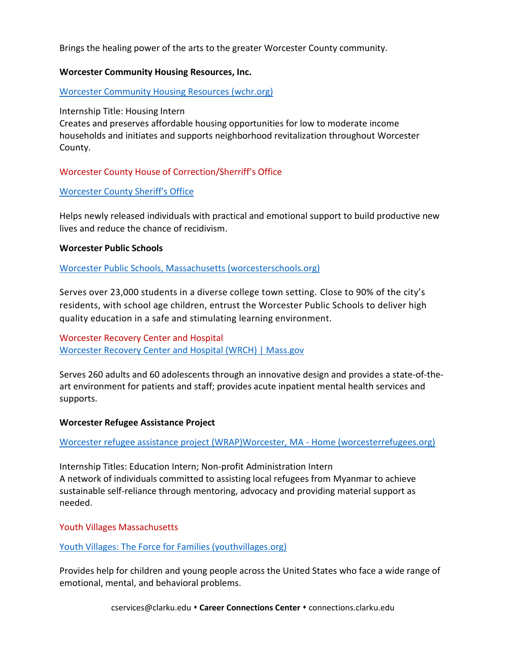Brings the healing power of the arts to the greater Worcester County community.

#### **Worcester Community Housing Resources, Inc.**

[Worcester Community Housing Resources \(wchr.org\)](https://www.wchr.org/)

Internship Title: Housing Intern

Creates and preserves affordable housing opportunities for low to moderate income households and initiates and supports neighborhood revitalization throughout Worcester County.

## Worcester County House of Correction/Sherriff's Office

#### [Worcester County Sheriff's Office](https://worcestercountysheriff.com/)

Helps newly released individuals with practical and emotional support to build productive new lives and reduce the chance of recidivism.

#### **Worcester Public Schools**

[Worcester Public Schools, Massachusetts \(worcesterschools.org\)](https://worcesterschools.org/)

Serves over 23,000 students in a diverse college town setting. Close to 90% of the city's residents, with school age children, entrust the Worcester Public Schools to deliver high quality education in a safe and stimulating learning environment.

Worcester Recovery Center and Hospital [Worcester Recovery Center and Hospital \(WRCH\) | Mass.gov](https://www.mass.gov/locations/worcester-recovery-center-and-hospital-wrch)

Serves 260 adults and 60 adolescents through an innovative design and provides a state‐of‐the‐ art environment for patients and staff; provides acute inpatient mental health services and supports.

#### **Worcester Refugee Assistance Project**

[Worcester refugee assistance project \(WRAP\)Worcester, MA -](http://www.worcesterrefugees.org/) Home (worcesterrefugees.org)

Internship Titles: Education Intern; Non-profit Administration Intern A network of individuals committed to assisting local refugees from Myanmar to achieve sustainable self‐reliance through mentoring, advocacy and providing material support as needed.

Youth Villages Massachusetts

#### [Youth Villages: The Force for Families \(youthvillages.org\)](https://youthvillages.org/)

Provides help for children and young people across the United States who face a wide range of emotional, mental, and behavioral problems.

cservices@clarku.edu **\* Career Connections Center \*** connections.clarku.edu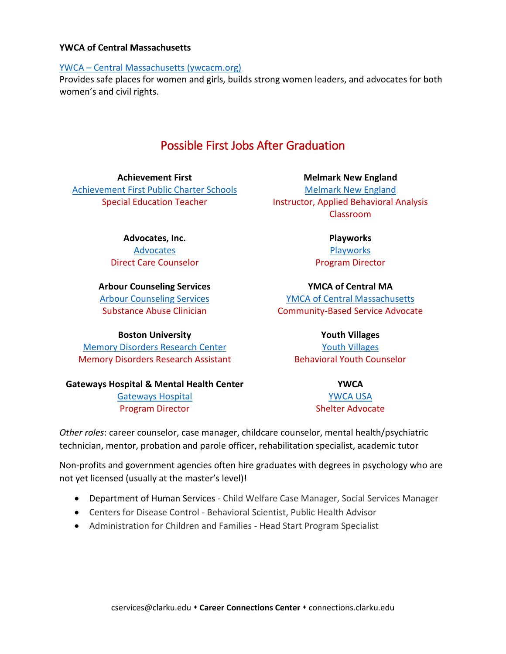#### **YWCA of Central Massachusetts**

#### YWCA – [Central Massachusetts \(ywcacm.org\)](https://ywcacm.org/)

Provides safe places for women and girls, builds strong women leaders, and advocates for both women's and civil rights.

## Possible First Jobs After Graduation

**Achievement First** [Achievement First Public Charter Schools](https://www.achievementfirst.org/) Special Education Teacher

**Advocates, Inc.**

[Advocates](https://www.advocates.org/) Direct Care Counselor

**Arbour Counseling Services** [Arbour Counseling Services](https://arbourhealth.com/) Substance Abuse Clinician

**Boston University** [Memory Disorders Research Center](https://www.bu.edu/mdrc/)

Memory Disorders Research Assistant

**Gateways Hospital & Mental Health Center**

[Gateways Hospital](https://www.gatewayshospital.org/) Program Director

**Melmark New England** Melmark [New England](https://www.melmark.org/locations/new-england/) Instructor, Applied Behavioral Analysis Classroom

> **Playworks [Playworks](https://www.playworks.org/)** Program Director

**YMCA of Central MA** [YMCA of Central Massachusetts](https://www.ymcaofcm.org/) Community-Based Service Advocate

> **Youth Villages** [Youth Villages](https://youthvillages.org/) Behavioral Youth Counselor

> > **YWCA** [YWCA USA](https://www.ywca.org/) Shelter Advocate

*Other roles*: career counselor, case manager, childcare counselor, mental health/psychiatric technician, mentor, probation and parole officer, rehabilitation specialist, academic tutor

Non-profits and government agencies often hire graduates with degrees in psychology who are not yet licensed (usually at the master's level)!

- Department of Human Services Child Welfare Case Manager, Social Services Manager
- Centers for Disease Control Behavioral Scientist, Public Health Advisor
- Administration for Children and Families Head Start Program Specialist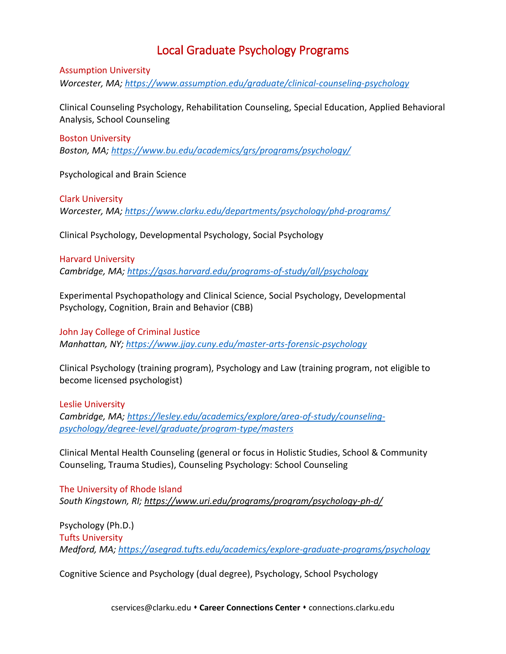## Local Graduate Psychology Programs

#### Assumption University

*Worcester, MA;<https://www.assumption.edu/graduate/clinical-counseling-psychology>*

Clinical Counseling Psychology, Rehabilitation Counseling, Special Education, Applied Behavioral Analysis, School Counseling

#### Boston University

*Boston, MA;<https://www.bu.edu/academics/grs/programs/psychology/>*

Psychological and Brain Science

Clark University *Worcester, MA;<https://www.clarku.edu/departments/psychology/phd-programs/>*

Clinical Psychology, Developmental Psychology, Social Psychology

#### Harvard University

*Cambridge, MA;<https://gsas.harvard.edu/programs-of-study/all/psychology>*

Experimental Psychopathology and Clinical Science, Social Psychology, Developmental Psychology, Cognition, Brain and Behavior (CBB)

John Jay College of Criminal Justice *Manhattan, NY;<https://www.jjay.cuny.edu/master-arts-forensic-psychology>*

Clinical Psychology (training program), Psychology and Law (training program, not eligible to become licensed psychologist)

Leslie University *Cambridge, MA; [https://lesley.edu/academics/explore/area-of-study/counseling](https://lesley.edu/academics/explore/area-of-study/counseling-psychology/degree-level/graduate/program-type/masters)[psychology/degree-level/graduate/program-type/masters](https://lesley.edu/academics/explore/area-of-study/counseling-psychology/degree-level/graduate/program-type/masters)*

Clinical Mental Health Counseling (general or focus in Holistic Studies, School & Community Counseling, Trauma Studies), Counseling Psychology: School Counseling

The University of Rhode Island *South Kingstown, RI;<https://www.uri.edu/programs/program/psychology-ph-d/>*

Psychology (Ph.D.) Tufts University *Medford, MA;<https://asegrad.tufts.edu/academics/explore-graduate-programs/psychology>*

Cognitive Science and Psychology (dual degree), Psychology, School Psychology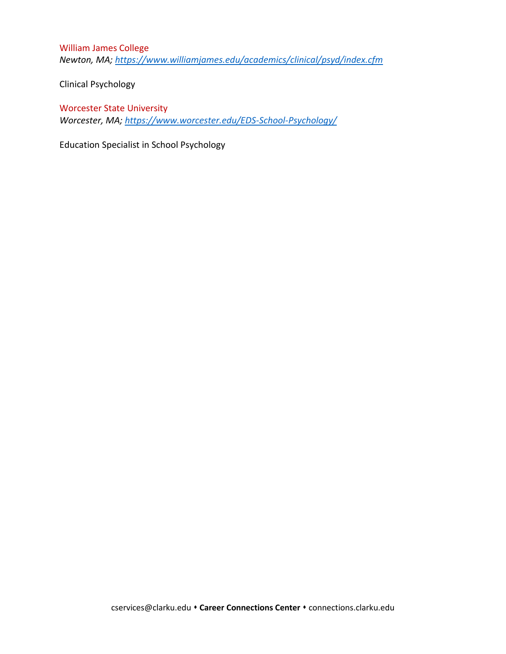William James College *Newton, MA;<https://www.williamjames.edu/academics/clinical/psyd/index.cfm>*

Clinical Psychology

Worcester State University *Worcester, MA;<https://www.worcester.edu/EDS-School-Psychology/>*

Education Specialist in School Psychology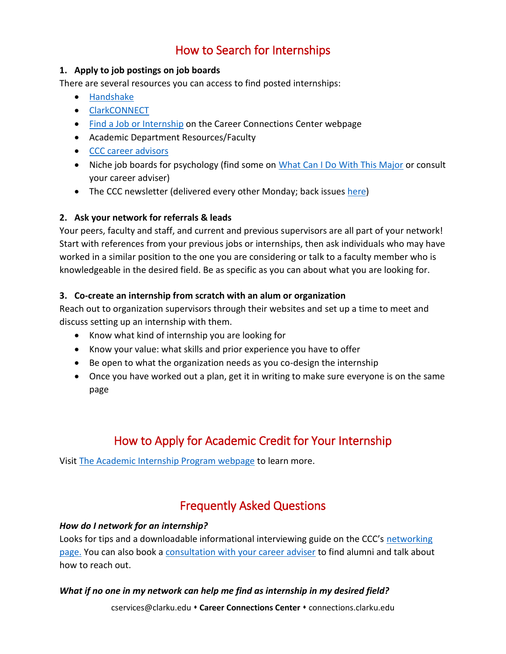## How to Search for Internships

## **1. Apply to job postings on job boards**

There are several resources you can access to find posted internships:

- [Handshake](https://www.clarku.edu/offices/career-connections-center/get-ready/find-jobs-and-internships/)
- [ClarkCONNECT](https://clarkconnect.clarku.edu/)
- [Find a Job or Internship](https://www.clarku.edu/offices/career-connections-center/get-ready/find-jobs-and-internships/) on the Career Connections Center webpage
- Academic Department Resources/Faculty
- [CCC career advisors](https://www.clarku.edu/offices/career-connections-center/about-us/meet-the-team/)
- Niche job boards for psychology (find some on [What Can I Do With This Major](https://www.clarku.edu/offices/career-connections-center/explore-careers/) or consult your career adviser)
- The CCC newsletter (delivered every other Monday; back issues [here\)](https://www.clarku.edu/offices/career-connections-center/resources/career-resources-library/)

## **2. Ask your network for referrals & leads**

Your peers, faculty and staff, and current and previous supervisors are all part of your network! Start with references from your previous jobs or internships, then ask individuals who may have worked in a similar position to the one you are considering or talk to a faculty member who is knowledgeable in the desired field. Be as specific as you can about what you are looking for.

## **3. Co-create an internship from scratch with an alum or organization**

Reach out to organization supervisors through their websites and set up a time to meet and discuss setting up an internship with them.

- Know what kind of internship you are looking for
- Know your value: what skills and prior experience you have to offer
- Be open to what the organization needs as you co-design the internship
- Once you have worked out a plan, get it in writing to make sure everyone is on the same page

## How to Apply for Academic Credit for Your Internship

Visi[t The Academic Internship Program webpage](https://www.clarku.edu/offices/isso/international-students/current-students/employment/) to learn more.

## Frequently Asked Questions

## *How do I network for an internship?*

Looks for tips and a downloadable informational interviewing guide on the CCC's networking [page.](https://www.clarku.edu/offices/career-connections-center/get-ready/build-your-network/) You can also book a [consultation with your career adviser](https://www.clarku.edu/offices/career-connections-center/about-us/meet-the-team/) to find alumni and talk about how to reach out.

## *What if no one in my network can help me find as internship in my desired field?*

cservices@clarku.edu **Career Connections Center** connections.clarku.edu